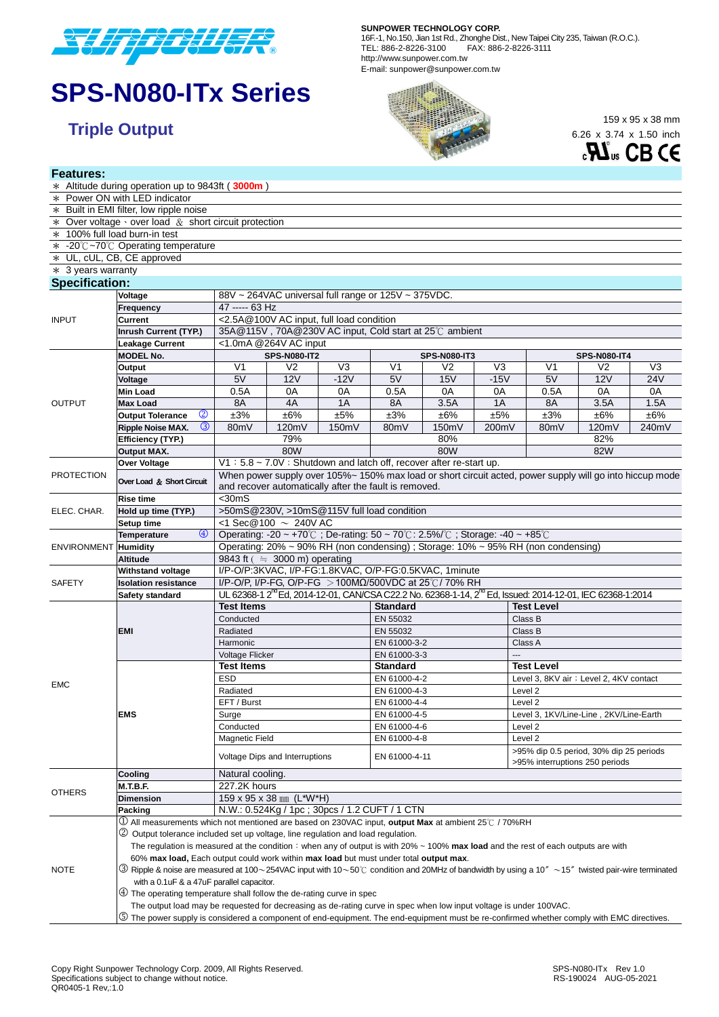

# **SPS-N080-ITx Series**

**Features:**

#### **SUNPOWER TECHNOLOGY CORP.**

16F.-1, No.150, Jian 1st Rd., Zhonghe Dist., New Taipei City 235, Taiwan (R.O.C.). TEL: 886-2-8226-3100 FAX: 886-2-8226-3111 http://www.sunpower.com.tw E-mail: sunpower@sunpower.com.tw



6.26 x 3.74 x 1.50 inch



|                             | * Altitude during operation up to 9843ft (3000m)                                                                                                               |                                                                                                          |                                                                                                                                                                                            |                |                   |                     |                |                                                                           |                |                |  |  |
|-----------------------------|----------------------------------------------------------------------------------------------------------------------------------------------------------------|----------------------------------------------------------------------------------------------------------|--------------------------------------------------------------------------------------------------------------------------------------------------------------------------------------------|----------------|-------------------|---------------------|----------------|---------------------------------------------------------------------------|----------------|----------------|--|--|
|                             | * Power ON with LED indicator                                                                                                                                  |                                                                                                          |                                                                                                                                                                                            |                |                   |                     |                |                                                                           |                |                |  |  |
|                             | * Built in EMI filter, low ripple noise                                                                                                                        |                                                                                                          |                                                                                                                                                                                            |                |                   |                     |                |                                                                           |                |                |  |  |
|                             | $*$ Over voltage $\cdot$ over load $\&$ short circuit protection                                                                                               |                                                                                                          |                                                                                                                                                                                            |                |                   |                     |                |                                                                           |                |                |  |  |
|                             | * 100% full load burn-in test                                                                                                                                  |                                                                                                          |                                                                                                                                                                                            |                |                   |                     |                |                                                                           |                |                |  |  |
|                             | * -20℃~70℃ Operating temperature                                                                                                                               |                                                                                                          |                                                                                                                                                                                            |                |                   |                     |                |                                                                           |                |                |  |  |
|                             | * UL, cUL, CB, CE approved                                                                                                                                     |                                                                                                          |                                                                                                                                                                                            |                |                   |                     |                |                                                                           |                |                |  |  |
| $*$ 3 years warranty        |                                                                                                                                                                |                                                                                                          |                                                                                                                                                                                            |                |                   |                     |                |                                                                           |                |                |  |  |
| <b>Specification:</b>       |                                                                                                                                                                |                                                                                                          |                                                                                                                                                                                            |                |                   |                     |                |                                                                           |                |                |  |  |
| <b>INPUT</b>                | Voltage                                                                                                                                                        | 88V ~ 264VAC universal full range or 125V ~ 375VDC.                                                      |                                                                                                                                                                                            |                |                   |                     |                |                                                                           |                |                |  |  |
|                             | Frequency                                                                                                                                                      | 47 ----- 63 Hz                                                                                           |                                                                                                                                                                                            |                |                   |                     |                |                                                                           |                |                |  |  |
|                             | Current                                                                                                                                                        | <2.5A @100V AC input, full load condition                                                                |                                                                                                                                                                                            |                |                   |                     |                |                                                                           |                |                |  |  |
|                             | <b>Inrush Current (TYP.)</b>                                                                                                                                   | 35A@115V, 70A@230V AC input, Cold start at 25℃ ambient                                                   |                                                                                                                                                                                            |                |                   |                     |                |                                                                           |                |                |  |  |
|                             | <b>Leakage Current</b>                                                                                                                                         | <1.0mA @264V AC input                                                                                    |                                                                                                                                                                                            |                |                   |                     |                |                                                                           |                |                |  |  |
|                             | <b>MODEL No.</b>                                                                                                                                               |                                                                                                          | <b>SPS-N080-IT2</b>                                                                                                                                                                        |                |                   | <b>SPS-N080-IT3</b> |                | <b>SPS-N080-IT4</b>                                                       |                |                |  |  |
|                             | Output                                                                                                                                                         | V <sub>1</sub>                                                                                           | V <sub>2</sub>                                                                                                                                                                             | V <sub>3</sub> | V <sub>1</sub>    | V <sub>2</sub>      | V <sub>3</sub> | V <sub>1</sub>                                                            | V <sub>2</sub> | V <sub>3</sub> |  |  |
|                             | Voltage                                                                                                                                                        | 5V                                                                                                       | <b>12V</b>                                                                                                                                                                                 | $-12V$         | 5V                | 15V                 | $-15V$         | 5V                                                                        | <b>12V</b>     | <b>24V</b>     |  |  |
|                             | <b>Min Load</b>                                                                                                                                                | 0.5A                                                                                                     | 0A                                                                                                                                                                                         | 0A             | 0.5A              | 0A                  | 0A             | 0.5A                                                                      | 0A             | 0A             |  |  |
| <b>OUTPUT</b>               | <b>Max Load</b>                                                                                                                                                | 8A                                                                                                       | 4A                                                                                                                                                                                         | 1A             | 8A                | 3.5A                | 1A             | 8A                                                                        | 3.5A           | 1.5A           |  |  |
|                             | $\circledcirc$<br><b>Output Tolerance</b>                                                                                                                      | ±3%                                                                                                      | ±6%                                                                                                                                                                                        | ±5%            | ±3%               | ±6%                 | ±5%            | ±3%                                                                       | ±6%            | ±6%            |  |  |
|                             | $\circled{3}$<br><b>Ripple Noise MAX.</b>                                                                                                                      | 80mV                                                                                                     | 120mV                                                                                                                                                                                      | 150mV          | 80 <sub>m</sub> V | 150mV               | 200mV          | 80mV                                                                      | 120mV          | 240mV          |  |  |
|                             | Efficiency (TYP.)                                                                                                                                              | 79%                                                                                                      |                                                                                                                                                                                            |                |                   | 80%                 |                |                                                                           | 82%            |                |  |  |
|                             | <b>Output MAX.</b>                                                                                                                                             | 80W                                                                                                      |                                                                                                                                                                                            |                | 80W               |                     |                | 82W                                                                       |                |                |  |  |
|                             | <b>Over Voltage</b>                                                                                                                                            | V1: 5.8 ~ 7.0V : Shutdown and latch off, recover after re-start up.                                      |                                                                                                                                                                                            |                |                   |                     |                |                                                                           |                |                |  |  |
| <b>PROTECTION</b>           |                                                                                                                                                                | When power supply over 105%~ 150% max load or short circuit acted, power supply will go into hiccup mode |                                                                                                                                                                                            |                |                   |                     |                |                                                                           |                |                |  |  |
|                             | Over Load & Short Circuit                                                                                                                                      | and recover automatically after the fault is removed.                                                    |                                                                                                                                                                                            |                |                   |                     |                |                                                                           |                |                |  |  |
| ELEC. CHAR.                 | <b>Rise time</b>                                                                                                                                               | $<$ 30mS                                                                                                 |                                                                                                                                                                                            |                |                   |                     |                |                                                                           |                |                |  |  |
|                             | Hold up time (TYP.)                                                                                                                                            | >50mS@230V, >10mS@115V full load condition                                                               |                                                                                                                                                                                            |                |                   |                     |                |                                                                           |                |                |  |  |
|                             | Setup time                                                                                                                                                     | <1 Sec@100 $\sim 240V$ AC                                                                                |                                                                                                                                                                                            |                |                   |                     |                |                                                                           |                |                |  |  |
| <b>ENVIRONMENT Humidity</b> | $\circledcirc$<br><b>Temperature</b>                                                                                                                           | Operating: -20 ~ +70℃; De-rating: 50 ~ 70℃: 2.5%/℃; Storage: -40 ~ +85℃                                  |                                                                                                                                                                                            |                |                   |                     |                |                                                                           |                |                |  |  |
|                             |                                                                                                                                                                | Operating: 20% ~ 90% RH (non condensing) ; Storage: 10% ~ 95% RH (non condensing)                        |                                                                                                                                                                                            |                |                   |                     |                |                                                                           |                |                |  |  |
|                             | <b>Altitude</b>                                                                                                                                                | 9843 ft $($ $\approx$ 3000 m) operating                                                                  |                                                                                                                                                                                            |                |                   |                     |                |                                                                           |                |                |  |  |
|                             | <b>Withstand voltage</b>                                                                                                                                       | I/P-O/P:3KVAC, I/P-FG:1.8KVAC, O/P-FG:0.5KVAC, 1minute                                                   |                                                                                                                                                                                            |                |                   |                     |                |                                                                           |                |                |  |  |
| <b>SAFETY</b>               | <b>Isolation resistance</b>                                                                                                                                    |                                                                                                          |                                                                                                                                                                                            |                |                   |                     |                |                                                                           |                |                |  |  |
|                             | Safety standard                                                                                                                                                |                                                                                                          | I/P-O/P, I/P-FG, O/P-FG > 100ΜΩ/500VDC at 25°C/70% RH<br>UL 62368-1 2 <sup>nd</sup> Ed, 2014-12-01, CAN/CSA C22.2 No. 62368-1-14, 2 <sup>nd</sup> Ed, Issued: 2014-12-01, IEC 62368-1:2014 |                |                   |                     |                |                                                                           |                |                |  |  |
|                             |                                                                                                                                                                | <b>Test Items</b>                                                                                        |                                                                                                                                                                                            |                | <b>Standard</b>   |                     |                | <b>Test Level</b>                                                         |                |                |  |  |
|                             | <b>EMI</b>                                                                                                                                                     | Conducted                                                                                                |                                                                                                                                                                                            |                | EN 55032          |                     |                | Class B                                                                   |                |                |  |  |
|                             |                                                                                                                                                                | Radiated                                                                                                 |                                                                                                                                                                                            |                | EN 55032          |                     |                | Class B                                                                   |                |                |  |  |
|                             |                                                                                                                                                                | Harmonic                                                                                                 |                                                                                                                                                                                            |                | EN 61000-3-2      |                     |                | Class A                                                                   |                |                |  |  |
|                             |                                                                                                                                                                | Voltage Flicker                                                                                          |                                                                                                                                                                                            |                | EN 61000-3-3      |                     |                | $\overline{a}$                                                            |                |                |  |  |
|                             |                                                                                                                                                                | <b>Test Items</b>                                                                                        |                                                                                                                                                                                            |                | <b>Standard</b>   |                     |                | <b>Test Level</b>                                                         |                |                |  |  |
| <b>EMC</b>                  |                                                                                                                                                                | <b>ESD</b>                                                                                               |                                                                                                                                                                                            |                | EN 61000-4-2      |                     |                | Level 3, 8KV air ; Level 2, 4KV contact                                   |                |                |  |  |
|                             |                                                                                                                                                                | Radiated                                                                                                 |                                                                                                                                                                                            |                | EN 61000-4-3      |                     |                | Level 2                                                                   |                |                |  |  |
|                             |                                                                                                                                                                | EFT / Burst                                                                                              |                                                                                                                                                                                            |                | EN 61000-4-4      |                     |                | Level <sub>2</sub>                                                        |                |                |  |  |
|                             | <b>EMS</b>                                                                                                                                                     | Surge                                                                                                    |                                                                                                                                                                                            |                | EN 61000-4-5      |                     |                | Level 3, 1KV/Line-Line, 2KV/Line-Earth                                    |                |                |  |  |
|                             |                                                                                                                                                                | Conducted                                                                                                |                                                                                                                                                                                            |                | EN 61000-4-6      |                     |                | Level 2                                                                   |                |                |  |  |
|                             |                                                                                                                                                                | Magnetic Field                                                                                           |                                                                                                                                                                                            |                | EN 61000-4-8      |                     |                | Level 2                                                                   |                |                |  |  |
|                             |                                                                                                                                                                | Voltage Dips and Interruptions                                                                           |                                                                                                                                                                                            |                | EN 61000-4-11     |                     |                | >95% dip 0.5 period, 30% dip 25 periods<br>>95% interruptions 250 periods |                |                |  |  |
|                             | Cooling                                                                                                                                                        | Natural cooling.                                                                                         |                                                                                                                                                                                            |                |                   |                     |                |                                                                           |                |                |  |  |
|                             | <b>M.T.B.F.</b>                                                                                                                                                | 227.2K hours                                                                                             |                                                                                                                                                                                            |                |                   |                     |                |                                                                           |                |                |  |  |
| OTHERS                      | <b>Dimension</b>                                                                                                                                               | 159 x 95 x 38 mm (L*W*H)                                                                                 |                                                                                                                                                                                            |                |                   |                     |                |                                                                           |                |                |  |  |
|                             | Packing                                                                                                                                                        | N.W.: 0.524Kg / 1pc; 30pcs / 1.2 CUFT / 1 CTN                                                            |                                                                                                                                                                                            |                |                   |                     |                |                                                                           |                |                |  |  |
| NOTE                        | $\rm{U}$ All measurements which not mentioned are based on 230VAC input, output Max at ambient 25 $\rm{^\circ}\rm{C}$ / 70%RH                                  |                                                                                                          |                                                                                                                                                                                            |                |                   |                     |                |                                                                           |                |                |  |  |
|                             | 2 Output tolerance included set up voltage, line regulation and load regulation.                                                                               |                                                                                                          |                                                                                                                                                                                            |                |                   |                     |                |                                                                           |                |                |  |  |
|                             | The regulation is measured at the condition: when any of output is with $20\% \sim 100\%$ max load and the rest of each outputs are with                       |                                                                                                          |                                                                                                                                                                                            |                |                   |                     |                |                                                                           |                |                |  |  |
|                             | 60% max load, Each output could work within max load but must under total output max.                                                                          |                                                                                                          |                                                                                                                                                                                            |                |                   |                     |                |                                                                           |                |                |  |  |
|                             | $\textcircled{3}$ Ripple & noise are measured at 100~254VAC input with 10~50℃ condition and 20MHz of bandwidth by using a 10″~15″ twisted pair-wire terminated |                                                                                                          |                                                                                                                                                                                            |                |                   |                     |                |                                                                           |                |                |  |  |
|                             | with a 0.1uF & a 47uF parallel capacitor.                                                                                                                      |                                                                                                          |                                                                                                                                                                                            |                |                   |                     |                |                                                                           |                |                |  |  |
|                             | $\circ$ ) The operating temperature shall follow the de-rating curve in spec                                                                                   |                                                                                                          |                                                                                                                                                                                            |                |                   |                     |                |                                                                           |                |                |  |  |
|                             | The output load may be requested for decreasing as de-rating curve in spec when low input voltage is under 100VAC.                                             |                                                                                                          |                                                                                                                                                                                            |                |                   |                     |                |                                                                           |                |                |  |  |
|                             | $\mathbb G$ The power supply is considered a component of end-equipment. The end-equipment must be re-confirmed whether comply with EMC directives.            |                                                                                                          |                                                                                                                                                                                            |                |                   |                     |                |                                                                           |                |                |  |  |